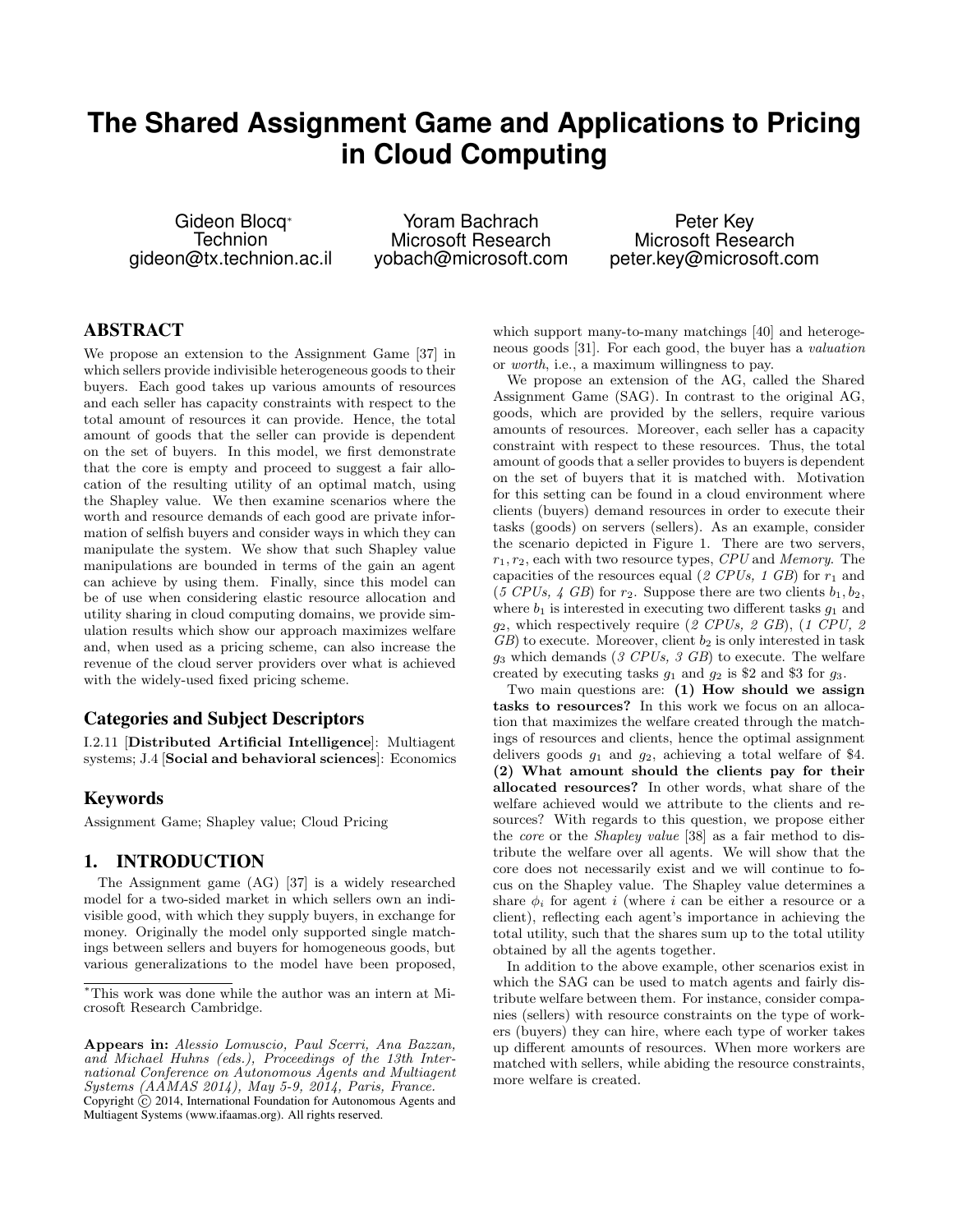# **The Shared Assignment Game and Applications to Pricing in Cloud Computing**

Gideon Blocq<sup>∗</sup> **Technion** gideon@tx.technion.ac.il

Yoram Bachrach Microsoft Research yobach@microsoft.com

Peter Key Microsoft Research peter.key@microsoft.com

# ABSTRACT

We propose an extension to the Assignment Game [37] in which sellers provide indivisible heterogeneous goods to their buyers. Each good takes up various amounts of resources and each seller has capacity constraints with respect to the total amount of resources it can provide. Hence, the total amount of goods that the seller can provide is dependent on the set of buyers. In this model, we first demonstrate that the core is empty and proceed to suggest a fair allocation of the resulting utility of an optimal match, using the Shapley value. We then examine scenarios where the worth and resource demands of each good are private information of selfish buyers and consider ways in which they can manipulate the system. We show that such Shapley value manipulations are bounded in terms of the gain an agent can achieve by using them. Finally, since this model can be of use when considering elastic resource allocation and utility sharing in cloud computing domains, we provide simulation results which show our approach maximizes welfare and, when used as a pricing scheme, can also increase the revenue of the cloud server providers over what is achieved with the widely-used fixed pricing scheme.

# Categories and Subject Descriptors

I.2.11 [Distributed Artificial Intelligence]: Multiagent systems; J.4 [Social and behavioral sciences]: Economics

# Keywords

Assignment Game; Shapley value; Cloud Pricing

# 1. INTRODUCTION

The Assignment game (AG) [37] is a widely researched model for a two-sided market in which sellers own an indivisible good, with which they supply buyers, in exchange for money. Originally the model only supported single matchings between sellers and buyers for homogeneous goods, but various generalizations to the model have been proposed, which support many-to-many matchings [40] and heterogeneous goods [31]. For each good, the buyer has a valuation or worth, i.e., a maximum willingness to pay.

We propose an extension of the AG, called the Shared Assignment Game (SAG). In contrast to the original AG, goods, which are provided by the sellers, require various amounts of resources. Moreover, each seller has a capacity constraint with respect to these resources. Thus, the total amount of goods that a seller provides to buyers is dependent on the set of buyers that it is matched with. Motivation for this setting can be found in a cloud environment where clients (buyers) demand resources in order to execute their tasks (goods) on servers (sellers). As an example, consider the scenario depicted in Figure 1. There are two servers,  $r_1, r_2$ , each with two resource types, CPU and Memory. The capacities of the resources equal (2 CPUs, 1 GB) for  $r_1$  and (5 CPUs, 4 GB) for  $r_2$ . Suppose there are two clients  $b_1, b_2,$ where  $b_1$  is interested in executing two different tasks  $g_1$  and  $g_2$ , which respectively require (2 CPUs, 2 GB), (1 CPU, 2  $GB$ ) to execute. Moreover, client  $b_2$  is only interested in task  $g_3$  which demands (3 CPUs, 3 GB) to execute. The welfare created by executing tasks  $g_1$  and  $g_2$  is \$2 and \$3 for  $g_3$ .

Two main questions are: (1) How should we assign tasks to resources? In this work we focus on an allocation that maximizes the welfare created through the matchings of resources and clients, hence the optimal assignment delivers goods  $q_1$  and  $q_2$ , achieving a total welfare of \$4. (2) What amount should the clients pay for their allocated resources? In other words, what share of the welfare achieved would we attribute to the clients and resources? With regards to this question, we propose either the core or the Shapley value [38] as a fair method to distribute the welfare over all agents. We will show that the core does not necessarily exist and we will continue to focus on the Shapley value. The Shapley value determines a share  $\phi_i$  for agent i (where i can be either a resource or a client), reflecting each agent's importance in achieving the total utility, such that the shares sum up to the total utility obtained by all the agents together.

In addition to the above example, other scenarios exist in which the SAG can be used to match agents and fairly distribute welfare between them. For instance, consider companies (sellers) with resource constraints on the type of workers (buyers) they can hire, where each type of worker takes up different amounts of resources. When more workers are matched with sellers, while abiding the resource constraints, more welfare is created.

<sup>∗</sup>This work was done while the author was an intern at Microsoft Research Cambridge.

Appears in: Alessio Lomuscio, Paul Scerri, Ana Bazzan, and Michael Huhns (eds.), Proceedings of the 13th International Conference on Autonomous Agents and Multiagent Systems (AAMAS 2014), May 5-9, 2014, Paris, France. Copyright (c) 2014, International Foundation for Autonomous Agents and Multiagent Systems (www.ifaamas.org). All rights reserved.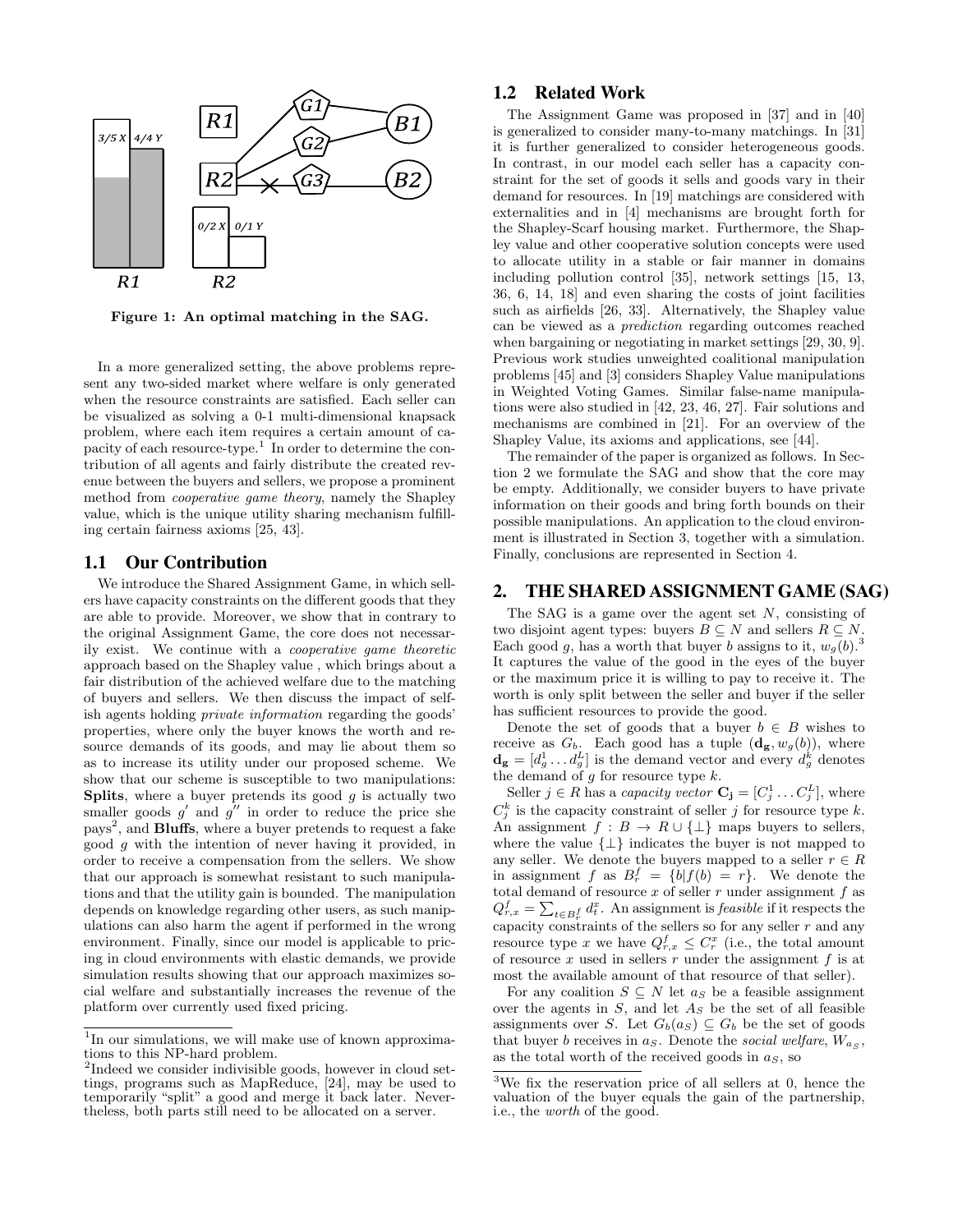

Figure 1: An optimal matching in the SAG.

In a more generalized setting, the above problems represent any two-sided market where welfare is only generated when the resource constraints are satisfied. Each seller can be visualized as solving a 0-1 multi-dimensional knapsack problem, where each item requires a certain amount of capacity of each resource-type.<sup>1</sup> In order to determine the contribution of all agents and fairly distribute the created revenue between the buyers and sellers, we propose a prominent method from cooperative game theory, namely the Shapley value, which is the unique utility sharing mechanism fulfilling certain fairness axioms [25, 43].

# 1.1 Our Contribution

We introduce the Shared Assignment Game, in which sellers have capacity constraints on the different goods that they are able to provide. Moreover, we show that in contrary to the original Assignment Game, the core does not necessarily exist. We continue with a cooperative game theoretic approach based on the Shapley value , which brings about a fair distribution of the achieved welfare due to the matching of buyers and sellers. We then discuss the impact of selfish agents holding private information regarding the goods' properties, where only the buyer knows the worth and resource demands of its goods, and may lie about them so as to increase its utility under our proposed scheme. We show that our scheme is susceptible to two manipulations: **Splits**, where a buyer pretends its good  $g$  is actually two smaller goods  $g'$  and  $g''$  in order to reduce the price she pays<sup>2</sup>, and **Bluffs**, where a buyer pretends to request a fake good g with the intention of never having it provided, in order to receive a compensation from the sellers. We show that our approach is somewhat resistant to such manipulations and that the utility gain is bounded. The manipulation depends on knowledge regarding other users, as such manipulations can also harm the agent if performed in the wrong environment. Finally, since our model is applicable to pricing in cloud environments with elastic demands, we provide simulation results showing that our approach maximizes social welfare and substantially increases the revenue of the platform over currently used fixed pricing.

# 1.2 Related Work

The Assignment Game was proposed in [37] and in [40] is generalized to consider many-to-many matchings. In [31] it is further generalized to consider heterogeneous goods. In contrast, in our model each seller has a capacity constraint for the set of goods it sells and goods vary in their demand for resources. In [19] matchings are considered with externalities and in [4] mechanisms are brought forth for the Shapley-Scarf housing market. Furthermore, the Shapley value and other cooperative solution concepts were used to allocate utility in a stable or fair manner in domains including pollution control [35], network settings [15, 13, 36, 6, 14, 18] and even sharing the costs of joint facilities such as airfields [26, 33]. Alternatively, the Shapley value can be viewed as a prediction regarding outcomes reached when bargaining or negotiating in market settings [29, 30, 9]. Previous work studies unweighted coalitional manipulation problems [45] and [3] considers Shapley Value manipulations in Weighted Voting Games. Similar false-name manipulations were also studied in [42, 23, 46, 27]. Fair solutions and mechanisms are combined in [21]. For an overview of the Shapley Value, its axioms and applications, see [44].

The remainder of the paper is organized as follows. In Section 2 we formulate the SAG and show that the core may be empty. Additionally, we consider buyers to have private information on their goods and bring forth bounds on their possible manipulations. An application to the cloud environment is illustrated in Section 3, together with a simulation. Finally, conclusions are represented in Section 4.

# 2. THE SHARED ASSIGNMENT GAME (SAG)

The SAG is a game over the agent set  $N$ , consisting of two disjoint agent types: buyers  $B \subseteq N$  and sellers  $R \subseteq N$ . Each good g, has a worth that buyer b assigns to it,  $w_g(b)$ .<sup>3</sup> It captures the value of the good in the eyes of the buyer or the maximum price it is willing to pay to receive it. The worth is only split between the seller and buyer if the seller has sufficient resources to provide the good.

Denote the set of goods that a buyer  $b \in B$  wishes to receive as  $G_b$ . Each good has a tuple  $(\mathbf{d_g}, w_g(b))$ , where  $\mathbf{d_g} = [d_g^1 \dots d_g^L]$  is the demand vector and every  $d_g^k$  denotes the demand of  $g$  for resource type  $k$ .

Seller  $j \in R$  has a capacity vector  $\mathbf{C_j} = [C_j^1 \dots C_j^L]$ , where  $C_j^k$  is the capacity constraint of seller j for resource type k. An assignment  $f : B \to R \cup \{\perp\}$  maps buyers to sellers, where the value  $\{\perp\}$  indicates the buyer is not mapped to any seller. We denote the buyers mapped to a seller  $r \in R$ in assignment f as  $B_r^f = \{b | f(b) = r\}$ . We denote the total demand of resource  $x$  of seller  $r$  under assignment  $f$  as  $Q_{r,x}^f = \sum_{t \in B_r^f} d_t^x$ . An assignment is *feasible* if it respects the capacity constraints of the sellers so for any seller  $r$  and any resource type x we have  $Q_{r,x}^f \leq C_r^x$  (i.e., the total amount of resource  $x$  used in sellers  $r$  under the assignment  $f$  is at most the available amount of that resource of that seller).

For any coalition  $S \subseteq N$  let  $a_S$  be a feasible assignment over the agents in  $S$ , and let  $A_S$  be the set of all feasible assignments over S. Let  $G_b(a_S) \subseteq G_b$  be the set of goods that buyer *b* receives in  $a_S$ . Denote the *social welfare*,  $W_{a_S}$ , as the total worth of the received goods in  $as$ , so

<sup>&</sup>lt;sup>1</sup>In our simulations, we will make use of known approximations to this NP-hard problem.

<sup>&</sup>lt;sup>2</sup>Indeed we consider indivisible goods, however in cloud settings, programs such as MapReduce, [24], may be used to temporarily "split" a good and merge it back later. Nevertheless, both parts still need to be allocated on a server.

<sup>3</sup>We fix the reservation price of all sellers at 0, hence the valuation of the buyer equals the gain of the partnership, i.e., the worth of the good.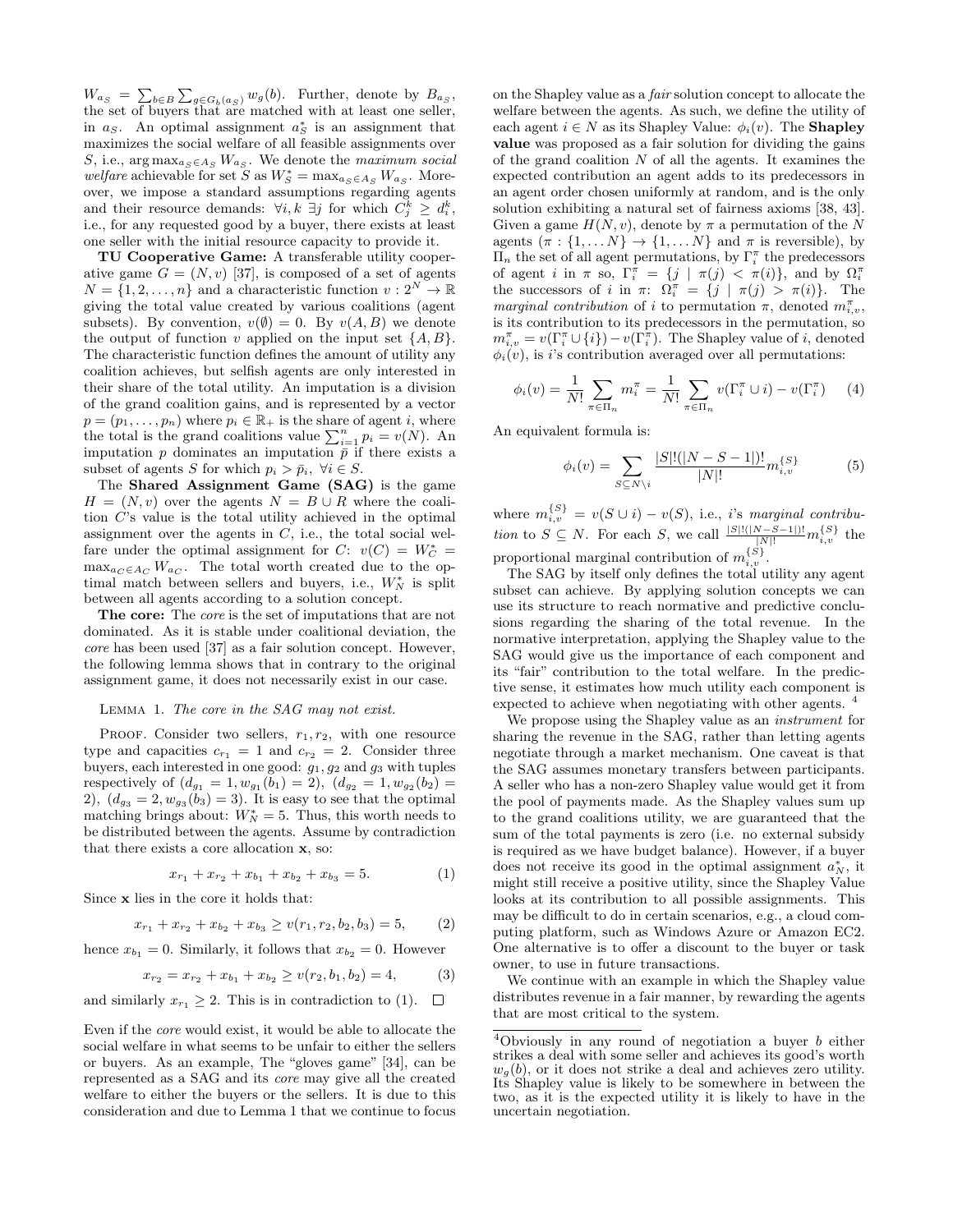$W_{a_S} = \sum_{b \in B} \sum_{g \in G_b(a_S)} w_g(b)$ . Further, denote by  $B_{a_S}$ , the set of buyers that are matched with at least one seller, in  $a_S$ . An optimal assignment  $a_S^*$  is an assignment that maximizes the social welfare of all feasible assignments over S, i.e.,  $\arg \max_{a_S \in A_S} W_{a_S}$ . We denote the maximum social *welfare* achievable for set S as  $W_S^* = \max_{a_S \in A_S} W_{a_S}$ . Moreover, we impose a standard assumptions regarding agents and their resource demands:  $\forall i, k \exists j$  for which  $C_j^k \geq d_i^k$ , i.e., for any requested good by a buyer, there exists at least one seller with the initial resource capacity to provide it.

TU Cooperative Game: A transferable utility cooperative game  $G = (N, v)$  [37], is composed of a set of agents  $N = \{1, 2, \ldots, n\}$  and a characteristic function  $v: 2^N \to \mathbb{R}$ giving the total value created by various coalitions (agent subsets). By convention,  $v(\emptyset) = 0$ . By  $v(A, B)$  we denote the output of function v applied on the input set  $\{A, B\}$ . The characteristic function defines the amount of utility any coalition achieves, but selfish agents are only interested in their share of the total utility. An imputation is a division of the grand coalition gains, and is represented by a vector  $p = (p_1, \ldots, p_n)$  where  $p_i \in \mathbb{R}_+$  is the share of agent i, where the total is the grand coalitions value  $\sum_{i=1}^{n} p_i = v(N)$ . An imputation  $p$  dominates an imputation  $\bar{p}$  if there exists a subset of agents S for which  $p_i > \bar{p}_i$ ,  $\forall i \in S$ .

The Shared Assignment Game (SAG) is the game  $H = (N, v)$  over the agents  $N = B \cup R$  where the coalition C's value is the total utility achieved in the optimal assignment over the agents in  $C$ , i.e., the total social welfare under the optimal assignment for  $C: v(C) = W_C^* =$  $\max_{a_C \in A_C} W_{a_C}$ . The total worth created due to the optimal match between sellers and buyers, i.e.,  $W_N^*$  is split between all agents according to a solution concept.

The core: The *core* is the set of imputations that are not dominated. As it is stable under coalitional deviation, the core has been used [37] as a fair solution concept. However, the following lemma shows that in contrary to the original assignment game, it does not necessarily exist in our case.

#### Lemma 1. The core in the SAG may not exist.

PROOF. Consider two sellers,  $r_1, r_2$ , with one resource type and capacities  $c_{r_1} = 1$  and  $c_{r_2} = 2$ . Consider three buyers, each interested in one good:  $g_1, g_2$  and  $g_3$  with tuples respectively of  $(d_{g_1} = 1, w_{g_1}(b_1) = 2), (d_{g_2} = 1, w_{g_2}(b_2) = 1)$ 2),  $(d_{g_3} = 2, w_{g_3}(b_3) = 3)$ . It is easy to see that the optimal matching brings about:  $W_N^* = 5$ . Thus, this worth needs to be distributed between the agents. Assume by contradiction that there exists a core allocation x, so:

$$
x_{r_1} + x_{r_2} + x_{b_1} + x_{b_2} + x_{b_3} = 5.
$$
 (1)

Since  $x$  lies in the core it holds that:

$$
x_{r_1} + x_{r_2} + x_{b_2} + x_{b_3} \ge v(r_1, r_2, b_2, b_3) = 5, \qquad (2)
$$

hence  $x_{b_1} = 0$ . Similarly, it follows that  $x_{b_2} = 0$ . However

$$
x_{r_2} = x_{r_2} + x_{b_1} + x_{b_2} \ge v(r_2, b_1, b_2) = 4,\tag{3}
$$

and similarly  $x_{r_1} \geq 2$ . This is in contradiction to (1).  $\Box$ 

Even if the core would exist, it would be able to allocate the social welfare in what seems to be unfair to either the sellers or buyers. As an example, The "gloves game" [34], can be represented as a SAG and its core may give all the created welfare to either the buyers or the sellers. It is due to this consideration and due to Lemma 1 that we continue to focus on the Shapley value as a fair solution concept to allocate the welfare between the agents. As such, we define the utility of each agent  $i \in N$  as its Shapley Value:  $\phi_i(v)$ . The **Shapley** value was proposed as a fair solution for dividing the gains of the grand coalition  $N$  of all the agents. It examines the expected contribution an agent adds to its predecessors in an agent order chosen uniformly at random, and is the only solution exhibiting a natural set of fairness axioms [38, 43]. Given a game  $H(N, v)$ , denote by  $\pi$  a permutation of the N agents  $(\pi : \{1, \ldots N\} \to \{1, \ldots N\})$  and  $\pi$  is reversible), by  $\Pi_n$  the set of all agent permutations, by  $\Gamma_i^{\pi}$  the predecessors of agent *i* in  $\pi$  so,  $\Gamma_i^{\pi} = \{j \mid \pi(j) < \pi(i)\}\$ , and by  $\Omega_i^{\pi}$ the successors of i in  $\pi$ :  $\Omega_i^{\pi} = \{j \mid \pi(j) > \pi(i)\}.$  The marginal contribution of i to permutation  $\pi$ , denoted  $m_{i,v}^{\pi}$ , is its contribution to its predecessors in the permutation, so  $m_{i,v}^{\pi} = v(\Gamma_i^{\pi} \cup \{i\}) - v(\Gamma_i^{\pi})$ . The Shapley value of i, denoted  $\phi_i(v)$ , is *i*'s contribution averaged over all permutations:

$$
\phi_i(v) = \frac{1}{N!} \sum_{\pi \in \Pi_n} m_i^{\pi} = \frac{1}{N!} \sum_{\pi \in \Pi_n} v(\Gamma_i^{\pi} \cup i) - v(\Gamma_i^{\pi}) \tag{4}
$$

An equivalent formula is:

$$
\phi_i(v) = \sum_{S \subseteq N \setminus i} \frac{|S|!(|N - S - 1|)!}{|N|!} m_{i,v}^{\{S\}} \tag{5}
$$

where  $m_{i,v}^{\{S\}} = v(S \cup i) - v(S)$ , i.e., *i*'s marginal contribution to  $S \subseteq N$ . For each S, we call  $\frac{|S|!(|N-S-1|)!}{|N|!}m_{i,v}^{\{S\}}$  the proportional marginal contribution of  $m_{i,v}^{\{S\}}$ .

The SAG by itself only defines the total utility any agent subset can achieve. By applying solution concepts we can use its structure to reach normative and predictive conclusions regarding the sharing of the total revenue. In the normative interpretation, applying the Shapley value to the SAG would give us the importance of each component and its "fair" contribution to the total welfare. In the predictive sense, it estimates how much utility each component is expected to achieve when negotiating with other agents. <sup>4</sup>

We propose using the Shapley value as an instrument for sharing the revenue in the SAG, rather than letting agents negotiate through a market mechanism. One caveat is that the SAG assumes monetary transfers between participants. A seller who has a non-zero Shapley value would get it from the pool of payments made. As the Shapley values sum up to the grand coalitions utility, we are guaranteed that the sum of the total payments is zero (i.e. no external subsidy is required as we have budget balance). However, if a buyer does not receive its good in the optimal assignment  $a_N^*$ , it might still receive a positive utility, since the Shapley Value looks at its contribution to all possible assignments. This may be difficult to do in certain scenarios, e.g., a cloud computing platform, such as Windows Azure or Amazon EC2. One alternative is to offer a discount to the buyer or task owner, to use in future transactions.

We continue with an example in which the Shapley value distributes revenue in a fair manner, by rewarding the agents that are most critical to the system.

 $4$ Obviously in any round of negotiation a buyer  $b$  either strikes a deal with some seller and achieves its good's worth  $w<sub>g</sub>(b)$ , or it does not strike a deal and achieves zero utility. Its Shapley value is likely to be somewhere in between the two, as it is the expected utility it is likely to have in the uncertain negotiation.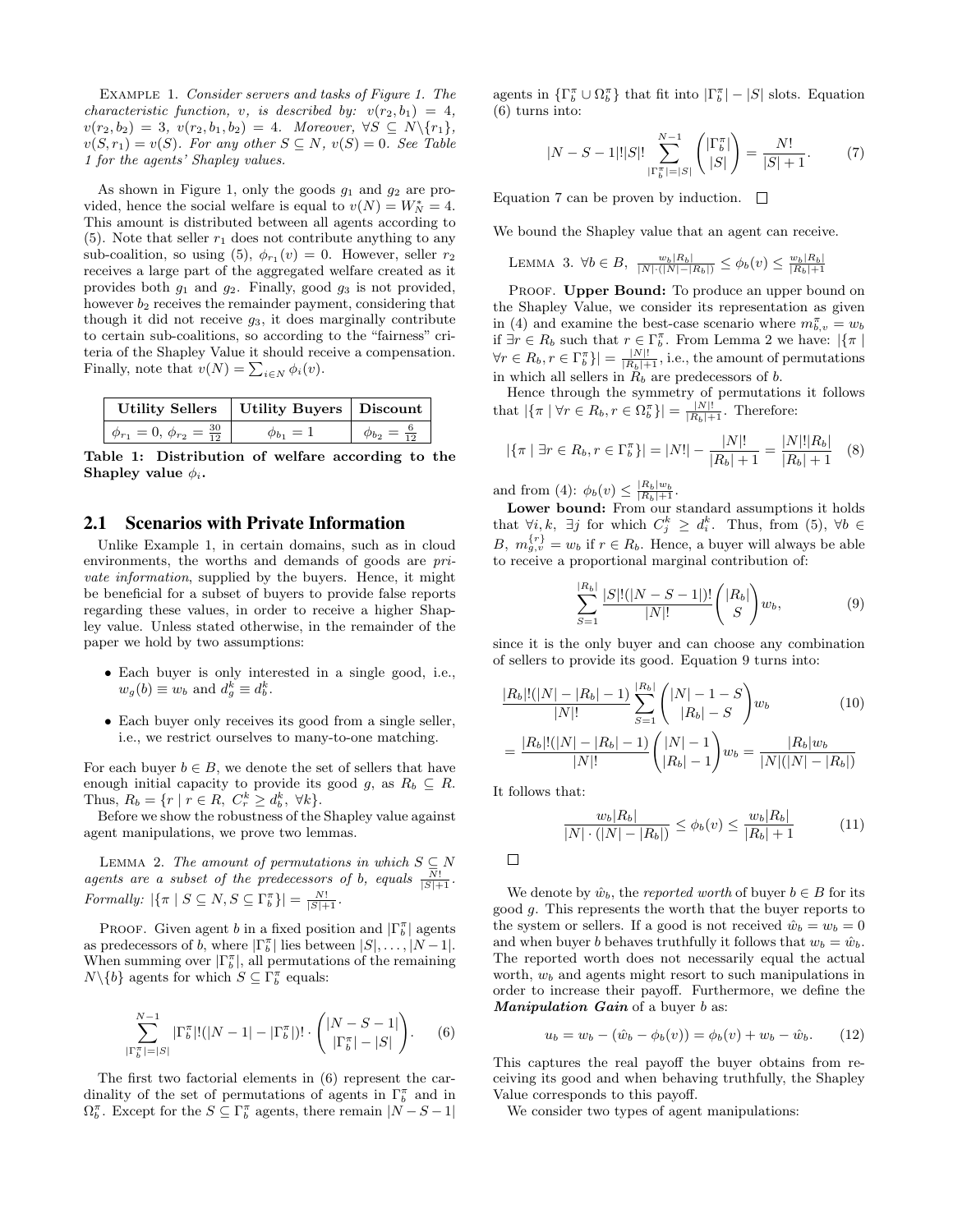Example 1. Consider servers and tasks of Figure 1. The characteristic function, v, is described by:  $v(r_2, b_1) = 4$ ,  $v(r_2, b_2) = 3, v(r_2, b_1, b_2) = 4.$  Moreover,  $\forall S \subseteq N \setminus \{r_1\},$  $v(S, r_1) = v(S)$ . For any other  $S \subseteq N$ ,  $v(S) = 0$ . See Table 1 for the agents' Shapley values.

As shown in Figure 1, only the goods  $g_1$  and  $g_2$  are provided, hence the social welfare is equal to  $v(N) = W_N^* = 4$ . This amount is distributed between all agents according to  $(5)$ . Note that seller  $r_1$  does not contribute anything to any sub-coalition, so using (5),  $\phi_{r_1}(v) = 0$ . However, seller  $r_2$ receives a large part of the aggregated welfare created as it provides both  $g_1$  and  $g_2$ . Finally, good  $g_3$  is not provided, however  $b_2$  receives the remainder payment, considering that though it did not receive  $q_3$ , it does marginally contribute to certain sub-coalitions, so according to the "fairness" criteria of the Shapley Value it should receive a compensation. Finally, note that  $v(N) = \sum_{i \in N} \phi_i(v)$ .

|                                                 | Utility Sellers   Utility Buyers   Discount |                             |
|-------------------------------------------------|---------------------------------------------|-----------------------------|
| $\phi_{r_1} = 0, \, \phi_{r_2} = \frac{30}{12}$ | $\phi_{b_1} = 1$                            | $\phi_{b_2} = \frac{6}{12}$ |

Table 1: Distribution of welfare according to the Shapley value  $\phi_i$ .

## 2.1 Scenarios with Private Information

Unlike Example 1, in certain domains, such as in cloud environments, the worths and demands of goods are *pri*vate information, supplied by the buyers. Hence, it might be beneficial for a subset of buyers to provide false reports regarding these values, in order to receive a higher Shapley value. Unless stated otherwise, in the remainder of the paper we hold by two assumptions:

- Each buyer is only interested in a single good, i.e.,  $w_g(b) \equiv w_b$  and  $d_g^k \equiv d_b^k$ .
- Each buyer only receives its good from a single seller, i.e., we restrict ourselves to many-to-one matching.

For each buyer  $b \in B$ , we denote the set of sellers that have enough initial capacity to provide its good g, as  $R_b \subseteq R$ . Thus,  $R_b = \{r \mid r \in R, C_r^k \geq d_b^k, \forall k\}.$ 

Before we show the robustness of the Shapley value against agent manipulations, we prove two lemmas.

LEMMA 2. The amount of permutations in which  $S \subseteq N$ agents are a subset of the predecessors of b, equals  $\frac{N!}{|S|+1}$ . Formally:  $|\{\pi \mid S \subseteq N, S \subseteq \Gamma_b^{\pi}\}| = \frac{N!}{|S|+1}$ .

PROOF. Given agent b in a fixed position and  $|\Gamma_b^{\pi}|$  agents as predecessors of b, where  $|\Gamma_b^{\pi}|$  lies between  $|S|, \ldots, |N-1|$ . When summing over  $|\Gamma_b^{\pi}|$ , all permutations of the remaining  $N\backslash\{b\}$  agents for which  $S \subseteq \Gamma_b^{\pi}$  equals:

$$
\sum_{|\Gamma_b^{\pi}|=|S|}^{N-1} |\Gamma_b^{\pi}|!(|N-1| - |\Gamma_b^{\pi}|)! \cdot \binom{|N-S-1|}{|\Gamma_b^{\pi}|-|S|}. \tag{6}
$$

The first two factorial elements in (6) represent the cardinality of the set of permutations of agents in  $\Gamma_b^{\pi}$  and in  $\Omega_b^{\pi}$ . Except for the  $S \subseteq \Gamma_b^{\pi}$  agents, there remain  $|N - S - 1|$ 

agents in  $\{\Gamma_b^{\pi} \cup \Omega_b^{\pi}\}\$  that fit into  $|\Gamma_b^{\pi}| - |S|$  slots. Equation (6) turns into:

$$
|N - S - 1|!|S|! \sum_{|\Gamma_b^{\pi}| = |S|}^{N-1} \left( \frac{|\Gamma_b^{\pi}|}{|S|} \right) = \frac{N!}{|S| + 1}.
$$
 (7)

Equation 7 can be proven by induction.  $\Box$ 

We bound the Shapley value that an agent can receive.

LEMMA 3. 
$$
\forall b \in B
$$
,  $\frac{w_b |R_b|}{|N| \cdot (|N| - |R_b|)} \leq \phi_b(v) \leq \frac{w_b |R_b|}{|R_b| + 1}$ 

PROOF. Upper Bound: To produce an upper bound on the Shapley Value, we consider its representation as given in (4) and examine the best-case scenario where  $m_{b,v}^{\pi} = w_b$ if  $\exists r \in R_b$  such that  $r \in \Gamma_b^{\pi}$ . From Lemma 2 we have:  $|\{\pi\}|$  $\forall r \in R_b, r \in \Gamma_b^{\pi}$ } =  $\frac{|N|!}{|R_b|+1}$ , i.e., the amount of permutations in which all sellers in  $R_b$  are predecessors of  $b$ .

Hence through the symmetry of permutations it follows that  $|\{\pi \mid \forall r \in R_b, r \in \Omega_b^{\pi}\}| = \frac{|N|!}{|R_b|+1}$ . Therefore:

$$
|\{\pi \mid \exists r \in R_b, r \in \Gamma_b^{\pi}\}| = |N!| - \frac{|N|!}{|R_b|+1} = \frac{|N|! |R_b|}{|R_b|+1} \quad (8)
$$

and from (4):  $\phi_b(v) \leq \frac{|R_b|w_b}{|R_b|+1}$ .

Lower bound: From our standard assumptions it holds that  $\forall i, k, \exists j$  for which  $C_j^k \geq d_i^k$ . Thus, from (5),  $\forall b \in$ B,  $m_{g,v}^{\{r\}} = w_b$  if  $r \in R_b$ . Hence, a buyer will always be able to receive a proportional marginal contribution of:

$$
\sum_{S=1}^{|R_b|} \frac{|S|!(|N-S-1|)!}{|N|!} {|R_b| \choose S} w_b, \tag{9}
$$

since it is the only buyer and can choose any combination of sellers to provide its good. Equation 9 turns into:

$$
\frac{|R_b|!(|N|-|R_b|-1)}{|N|!}\sum_{S=1}^{|R_b|}\binom{|N|-1-S}{|R_b|-S}w_b
$$
\n
$$
=\frac{|R_b|!(|N|-|R_b|-1)}{|N|!}\binom{|N|-1}{|R_b|-1}w_b=\frac{|R_b|w_b}{|N|(|N|-|R_b|)}
$$
\n(10)

It follows that:

$$
\frac{w_b|R_b|}{|N| \cdot (|N| - |R_b|)} \le \phi_b(v) \le \frac{w_b|R_b|}{|R_b| + 1} \tag{11}
$$

 $\Box$ 

We denote by  $\hat{w}_b$ , the reported worth of buyer  $b \in B$  for its good g. This represents the worth that the buyer reports to the system or sellers. If a good is not received  $\hat{w}_b = w_b = 0$ and when buyer b behaves truthfully it follows that  $w_b = \hat{w}_b$ . The reported worth does not necessarily equal the actual worth,  $w_b$  and agents might resort to such manipulations in order to increase their payoff. Furthermore, we define the Manipulation Gain of a buyer b as:

$$
u_b = w_b - (\hat{w}_b - \phi_b(v)) = \phi_b(v) + w_b - \hat{w}_b.
$$
 (12)

This captures the real payoff the buyer obtains from receiving its good and when behaving truthfully, the Shapley Value corresponds to this payoff.

We consider two types of agent manipulations: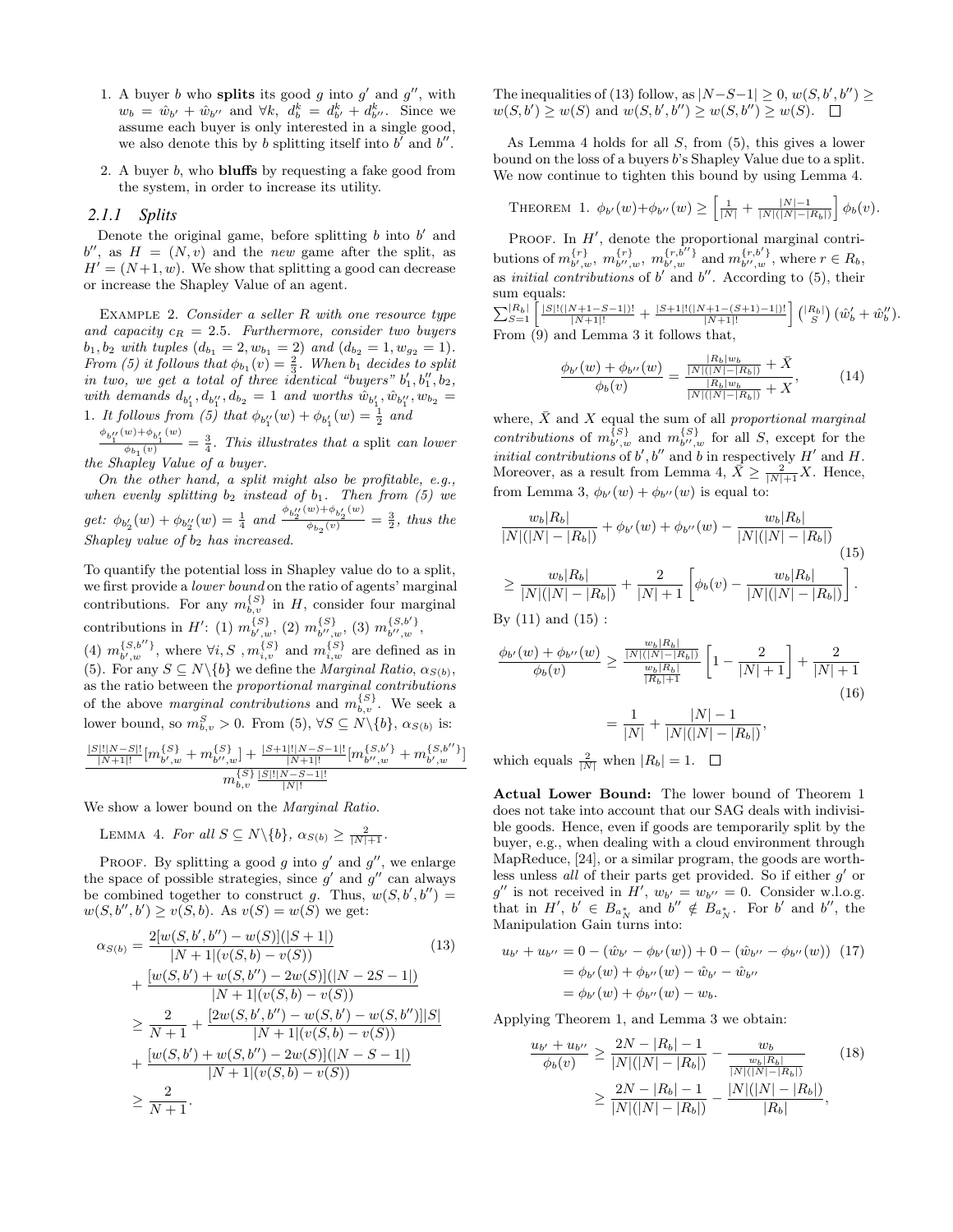- 1. A buyer b who splits its good g into  $g'$  and  $g''$ , with  $w_b = \hat{w}_{b'} + \hat{w}_{b''}$  and  $\forall k, d_b^k = d_{b'}^k + d_{b''}^k$ . Since we assume each buyer is only interested in a single good, we also denote this by b splitting itself into  $b^{\prime}$  and  $b^{\prime\prime}$ .
- 2. A buyer b, who bluffs by requesting a fake good from the system, in order to increase its utility.

### *2.1.1 Splits*

Denote the original game, before splitting  $b$  into  $b'$  and  $b''$ , as  $H = (N, v)$  and the new game after the split, as  $H' = (N + 1, w)$ . We show that splitting a good can decrease or increase the Shapley Value of an agent.

Example 2. Consider a seller R with one resource type and capacity  $c_R = 2.5$ . Furthermore, consider two buyers  $b_1, b_2$  with tuples  $(d_{b_1} = 2, w_{b_1} = 2)$  and  $(d_{b_2} = 1, w_{g_2} = 1)$ . From (5) it follows that  $\phi_{b_1}(v) = \frac{2}{3}$ . When  $b_1$  decides to split in two, we get a total of three identical "buyers"  $b'_1, b''_1, b_2$ , with demands  $d_{b'_1}, d_{b''_1}, d_{b_2} = 1$  and worths  $\hat{w}_{b'_1}, \hat{w}_{b''_1}, w_{b_2} =$ 1. It follows from (5) that  $\phi_{b_1''}(w) + \phi_{b_1'}(w) = \frac{1}{2}$  and

 $\phi_{b_1''}(w) + \phi_{b_1'}(w)$  $\frac{d\mathcal{L}_{\beta_1}(\omega)}{d\phi_{1_1}(v)} = \frac{3}{4}$ . This illustrates that a split can lower the Shapley Value of a buyer.

On the other hand, a split might also be profitable, e.g., when evenly splitting  $b_2$  instead of  $b_1$ . Then from (5) we get:  $\phi_{b'_2}(w) + \phi_{b''_2}(w) = \frac{1}{4}$  and  $\frac{\phi_{b''_2}(w) + \phi_{b'_2}(w)}{\phi_{b_2}(v)}$  $\frac{\omega_1+\omega_2(\omega)}{\phi_{b_2}(v)}=\frac{3}{2}$ , thus the Shapley value of  $b_2$  has increased.

To quantify the potential loss in Shapley value do to a split, we first provide a lower bound on the ratio of agents' marginal contributions. For any  $m_{b,v}^{\{S\}}$  in H, consider four marginal contributions in  $H'$ : (1)  $m_{b',w}^{\{S\}}$ , (2)  $m_{b'',w}^{\{S\}}$ , (3)  $m_{b'',w}^{\{S,b'\}}$ , (4)  $m_{b',w}^{\{S,b''\}}$ , where  $\forall i, S$ ,  $m_{i,v}^{\{S\}}$  and  $m_{i,w}^{\{S\}}$  are defined as in (5). For any  $S \subseteq N \setminus \{b\}$  we define the *Marginal Ratio*,  $\alpha_{S(b)}$ , as the ratio between the proportional marginal contributions of the above *marginal contributions* and  $m_{b,v}^{\{S\}}$ . We seek a lower bound, so  $m_{b,v}^S > 0$ . From  $(5)$ ,  $\forall S \subseteq N \setminus \{b\}$ ,  $\alpha_{S(b)}$  is:

$$
\frac{\frac{|S|!|N-S|!}{|N+1|!} [m^{ \{S\}}_{b',w}+m^{ \{S\}}_{b'',w}]+\frac{|S+1|!|N-S-1|!}{|N+1|!} [m^{ \{S,b'\}}_{b'',w}+m^{ \{S,b''\}}_{b',w}] }{m^{ \{S\}}_{b,v}\frac{|S|!|N-S-1|!}{|N|!}}
$$

We show a lower bound on the *Marginal Ratio*.

LEMMA 4. For all 
$$
S \subseteq N \setminus \{b\}
$$
,  $\alpha_{S(b)} \ge \frac{2}{|N|+1}$ .

PROOF. By splitting a good g into  $g'$  and  $g''$ , we enlarge the space of possible strategies, since  $g'$  and  $g''$  can always be combined together to construct g. Thus,  $w(S, b', b'') =$  $w(S, b'', b') \ge v(S, b)$ . As  $v(S) = w(S)$  we get:

$$
\alpha_{S(b)} = \frac{2[w(S, b', b'') - w(S)](|S + 1|)}{|N + 1|(v(S, b) - v(S))} \tag{13}
$$
\n
$$
+ \frac{[w(S, b') + w(S, b'') - 2w(S)](|N - 2S - 1|)}{|N + 1|(v(S, b) - v(S))} \ge \frac{2}{N + 1} + \frac{[2w(S, b', b'') - w(S, b') - w(S, b'')||S|}{|N + 1|(v(S, b) - v(S))} \times \frac{[w(S, b') + w(S, b'') - 2w(S)](|N - S - 1|)}{|N + 1|(v(S, b) - v(S))} \ge \frac{2}{N + 1}.
$$
\n(11)

The inequalities of (13) follow, as  $|N-S-1| \geq 0$ ,  $w(S, b', b'') \geq 0$  $w(S, b') \ge w(S)$  and  $w(S, b', b'') \ge w(S, b'') \ge w(S)$ .

As Lemma 4 holds for all  $S$ , from  $(5)$ , this gives a lower bound on the loss of a buyers b's Shapley Value due to a split. We now continue to tighten this bound by using Lemma 4.

THEOREM 1.  $\phi_{b'}(w) + \phi_{b''}(w) \ge \left[ \frac{1}{|N|} + \frac{|N|-1}{|N|(|N|-|R_b|)} \right] \phi_b(v).$ 

PROOF. In  $H'$ , denote the proportional marginal contributions of  $m_{b',w}^{\{r\}}, m_{b'',w}^{\{r\}}, m_{b',w}^{\{r,b'\}}$  and  $m_{b'',w}^{\{r,b'\}},$  where  $r \in R_b$ , as *initial contributions* of  $b'$  and  $b''$ . According to  $(5)$ , their sum equals:

 $\sum_{S=1}^{|R_b|} \left[ \frac{|S|!(|N+1-S-1|)!}{|N+1|!} + \frac{|S+1|!(|N+1-(S+1)-1|)!}{|N+1|!} \right] {\binom{|R_b|}{S}} \left( \hat{w}_b' + \hat{w}_b'' \right).$ From  $(9)$  and Lemma 3 it follows that,

$$
\frac{\phi_{b'}(w) + \phi_{b''}(w)}{\phi_b(v)} = \frac{\frac{|R_b|w_b}{|N|(|N| - |R_b|)} + \bar{X}}{\frac{|R_b|w_b}{|N|(|N| - |R_b|)} + X},\tag{14}
$$

where,  $\bar{X}$  and  $X$  equal the sum of all proportional marginal contributions of  $m_{b',w}^{\{S\}}$  and  $m_{b'',w}^{\{S\}}$  for all S, except for the initial contributions of  $b', b''$  and b in respectively  $H'$  and  $H$ . Moreover, as a result from Lemma 4,  $\overline{X} \ge \frac{2}{|N|+1} X$ . Hence, from Lemma 3,  $\phi_{b'}(w) + \phi_{b''}(w)$  is equal to:

$$
\frac{w_b|R_b|}{|N|(|N| - |R_b|)} + \phi_{b'}(w) + \phi_{b''}(w) - \frac{w_b|R_b|}{|N|(|N| - |R_b|)}
$$
\n
$$
\geq \frac{w_b|R_b|}{|N|(|N| - |R_b|)} + \frac{2}{|N| + 1} \left[ \phi_b(v) - \frac{w_b|R_b|}{|N|(|N| - |R_b|)} \right].
$$
\nBy (11) and (15):

$$
\frac{\phi_{b'}(w) + \phi_{b''}(w)}{\phi_b(v)} \ge \frac{\frac{w_b|R_b|}{|N|(|N|-|R_b|)}}{\frac{w_b|R_b|}{|R_b|+1}} \left[1 - \frac{2}{|N|+1}\right] + \frac{2}{|N|+1}
$$
\n
$$
= \frac{1}{|N|} + \frac{|N|-1}{|N|(|N|-|R_b|)},
$$
\n(16)

which equals  $\frac{2}{|N|}$  when  $|R_b| = 1$ .

Actual Lower Bound: The lower bound of Theorem 1 does not take into account that our SAG deals with indivisible goods. Hence, even if goods are temporarily split by the buyer, e.g., when dealing with a cloud environment through MapReduce, [24], or a similar program, the goods are worthless unless *all* of their parts get provided. So if either  $g'$  or g'' is not received in  $H'$ ,  $w_{b'} = w_{b''} = 0$ . Consider w.l.o.g. that in  $H'$ ,  $b' \in B_{a_N^*}$  and  $b'' \notin B_{a_N^*}$ . For b' and b'', the Manipulation Gain turns into:

$$
u_{b'} + u_{b''} = 0 - (\hat{w}_{b'} - \phi_{b'}(w)) + 0 - (\hat{w}_{b''} - \phi_{b''}(w))
$$
 (17)  
=  $\phi_{b'}(w) + \phi_{b''}(w) - \hat{w}_{b'} - \hat{w}_{b''}$   
=  $\phi_{b'}(w) + \phi_{b''}(w) - w_b$ .

Applying Theorem 1, and Lemma 3 we obtain:

$$
\frac{u_{b'} + u_{b''}}{\phi_b(v)} \ge \frac{2N - |R_b| - 1}{|N|(|N| - |R_b|)} - \frac{w_b}{\frac{w_b |R_b|}{|N|(|N| - |R_b|)}} \quad (18)
$$

$$
\ge \frac{2N - |R_b| - 1}{|N|(|N| - |R_b|)} - \frac{|N|(|N| - |R_b|)}{|R_b|},
$$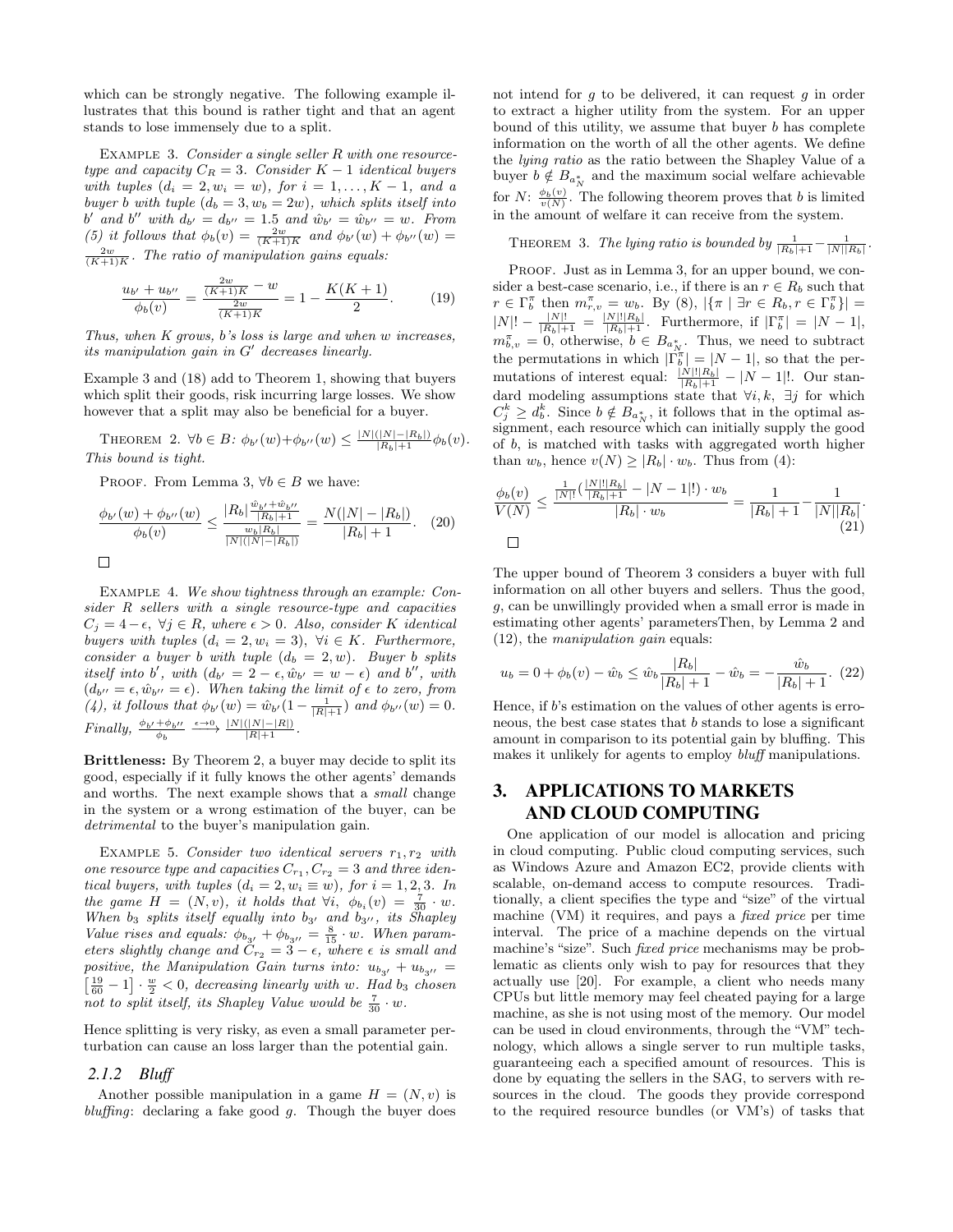which can be strongly negative. The following example illustrates that this bound is rather tight and that an agent stands to lose immensely due to a split.

EXAMPLE 3. Consider a single seller R with one resourcetype and capacity  $C_R = 3$ . Consider  $K - 1$  identical buyers with tuples  $(d_i = 2, w_i = w)$ , for  $i = 1, ..., K - 1$ , and a buyer b with tuple  $(d_b = 3, w_b = 2w)$ , which splits itself into b' and b'' with  $d_{b'} = d_{b''} = 1.5$  and  $\hat{w}_{b'} = \hat{w}_{b''} = w$ . From (5) it follows that  $\phi_b(v) = \frac{2w}{(K+1)K}$  and  $\phi_{b'}(w) + \phi_{b''}(w) =$  $\frac{2w}{(K+1)K}$ . The ratio of manipulation gains equals:

$$
\frac{u_{b'} + u_{b''}}{\phi_b(v)} = \frac{\frac{2w}{(K+1)K} - w}{\frac{2w}{(K+1)K}} = 1 - \frac{K(K+1)}{2}.
$$
 (19)

Thus, when K grows, b's loss is large and when w increases, its manipulation gain in  $G'$  decreases linearly.

Example 3 and (18) add to Theorem 1, showing that buyers which split their goods, risk incurring large losses. We show however that a split may also be beneficial for a buyer.

THEOREM 2.  $\forall b \in B: \phi_{b'}(w) + \phi_{b''}(w) \le \frac{|N|(|N|-|R_b|)}{|R_b|+1} \phi_b(v).$ This bound is tight.

PROOF. From Lemma 3,  $\forall b \in B$  we have:

$$
\frac{\phi_{b'}(w) + \phi_{b''}(w)}{\phi_b(v)} \le \frac{|R_b|^{\frac{\hat{w}_{b'} + \hat{w}_{b''}}{|R_b| + 1}}}{\frac{w_b|R_b|}{|N|(|N| - |R_b|)}} = \frac{N(|N| - |R_b|)}{|R_b| + 1}.
$$
 (20)

Example 4. We show tightness through an example: Consider R sellers with a single resource-type and capacities  $C_j = 4-\epsilon, \ \forall j \in R, \ where \ \epsilon > 0. \ Also, \ consider \ K \ identical$ buyers with tuples  $(d_i = 2, w_i = 3)$ ,  $\forall i \in K$ . Furthermore, consider a buyer b with tuple  $(d_b = 2, w)$ . Buyer b splits itself into b', with  $(d_{b'} = 2 - \epsilon, \hat{w}_{b'} = w - \epsilon)$  and b'', with  $(d_{b''} = \epsilon, \hat{w}_{b''} = \epsilon)$ . When taking the limit of  $\epsilon$  to zero, from (4), it follows that  $\phi_{b'}(w) = \hat{w}_{b'}(1 - \frac{1}{|R|+1})$  and  $\phi_{b''}(w) = 0$ . Finally,  $\frac{\phi_{b'} + \phi_{b''}}{\phi_b} \xrightarrow{\epsilon \to 0} \frac{|N|(|N|-|R|)}{|R|+1}$ .

Brittleness: By Theorem 2, a buyer may decide to split its good, especially if it fully knows the other agents' demands and worths. The next example shows that a small change in the system or a wrong estimation of the buyer, can be detrimental to the buyer's manipulation gain.

EXAMPLE 5. Consider two identical servers  $r_1, r_2$  with one resource type and capacities  $C_{r_1}, C_{r_2} = 3$  and three identical buyers, with tuples  $(d_i = 2, w_i \equiv w)$ , for  $i = 1, 2, 3$ . In the game  $H = (N, v)$ , it holds that  $\forall i$ ,  $\phi_{b_i}(v) = \frac{7}{30} \cdot w$ . When  $b_3$  splits itself equally into  $b_{3'}$  and  $b_{3''}$ , its Shapley Value rises and equals:  $\phi_{b_{3'}} + \phi_{b_{3''}} = \frac{8}{15} \cdot w$ . When parameters slightly change and  $\tilde{C}_{r_2} = \tilde{3} - \epsilon$ , where  $\epsilon$  is small and positive, the Manipulation Gain turns into:  $u_{b_{3'}} + u_{b_{3''}} = \left[\frac{19}{60} - 1\right] \cdot \frac{w}{2} < 0$ , decreasing linearly with w. Had  $b_3$  chosen not to split itself, its Shapley Value would be  $\frac{7}{30} \cdot w$ .

Hence splitting is very risky, as even a small parameter perturbation can cause an loss larger than the potential gain.

#### *2.1.2 Bluff*

Another possible manipulation in a game  $H = (N, v)$  is bluffing: declaring a fake good  $g$ . Though the buyer does

not intend for  $q$  to be delivered, it can request  $q$  in order to extract a higher utility from the system. For an upper bound of this utility, we assume that buyer  $b$  has complete information on the worth of all the other agents. We define the lying ratio as the ratio between the Shapley Value of a buyer $b \notin B_{a^*_N}$  and the maximum social welfare achievable for *N*:  $\frac{\phi_b(v)}{v(N)}$ . The following theorem proves that *b* is limited in the amount of welfare it can receive from the system.

THEOREM 3. The lying ratio is bounded by  $\frac{1}{|R_b|+1} - \frac{1}{|N||R_b|}$ .

PROOF. Just as in Lemma 3, for an upper bound, we consider a best-case scenario, i.e., if there is an  $r \in R_b$  such that  $r \in \Gamma_b^{\pi}$  then  $m_{r,v}^{\pi} = w_b$ . By (8),  $|\{\pi \mid \exists r \in R_b, r \in \Gamma_b^{\pi}\}|$  $|N|! - \frac{|N|!}{|R_b|+1} = \frac{|N|! |R_b|}{|R_b|+1}$ . Furthermore, if  $|\Gamma_b^{\pi}| = |N-1|$ ,  $m_{b,v}^{\pi} = 0$ , otherwise,  $b \in B_{a_N^*}$ . Thus, we need to subtract the permutations in which  $|\vec{\Gamma}_{b}^{\pi}| = |N-1|$ , so that the permutations of interest equal:  $\frac{|N|!|R_b|}{|R_b|+1} - |N-1|!$ . Our standard modeling assumptions state that  $\forall i, k, \exists j$  for which  $C_j^k \geq d_b^k$ . Since  $b \notin B_{a_N^*}$ , it follows that in the optimal as- $\sum_{j=-\infty}^{\infty}$  since  $\sum_{j=-\infty}^{\infty}$  is resource which can initially supply the good of b, is matched with tasks with aggregated worth higher than  $w_b$ , hence  $v(N) \geq |R_b| \cdot w_b$ . Thus from (4):

$$
\frac{\phi_b(v)}{V(N)} \le \frac{\frac{1}{|N|!} \left(\frac{|N|! |R_b|}{|R_b|+1} - |N-1|!\right) \cdot w_b}{|R_b| \cdot w_b} = \frac{1}{|R_b|+1} - \frac{1}{|N||R_b|}.
$$
\n
$$
\Box
$$
\n
$$
\Box
$$

The upper bound of Theorem 3 considers a buyer with full information on all other buyers and sellers. Thus the good, g, can be unwillingly provided when a small error is made in estimating other agents' parametersThen, by Lemma 2 and  $(12)$ , the *manipulation gain* equals:

$$
u_b = 0 + \phi_b(v) - \hat{w}_b \le \hat{w}_b \frac{|R_b|}{|R_b|+1} - \hat{w}_b = -\frac{\hat{w}_b}{|R_b|+1}.
$$
 (22)

Hence, if b's estimation on the values of other agents is erroneous, the best case states that b stands to lose a significant amount in comparison to its potential gain by bluffing. This makes it unlikely for agents to employ *bluff* manipulations.

# 3. APPLICATIONS TO MARKETS AND CLOUD COMPUTING

One application of our model is allocation and pricing in cloud computing. Public cloud computing services, such as Windows Azure and Amazon EC2, provide clients with scalable, on-demand access to compute resources. Traditionally, a client specifies the type and "size" of the virtual machine (VM) it requires, and pays a *fixed price* per time interval. The price of a machine depends on the virtual machine's "size". Such fixed price mechanisms may be problematic as clients only wish to pay for resources that they actually use [20]. For example, a client who needs many CPUs but little memory may feel cheated paying for a large machine, as she is not using most of the memory. Our model can be used in cloud environments, through the "VM" technology, which allows a single server to run multiple tasks, guaranteeing each a specified amount of resources. This is done by equating the sellers in the SAG, to servers with resources in the cloud. The goods they provide correspond to the required resource bundles (or VM's) of tasks that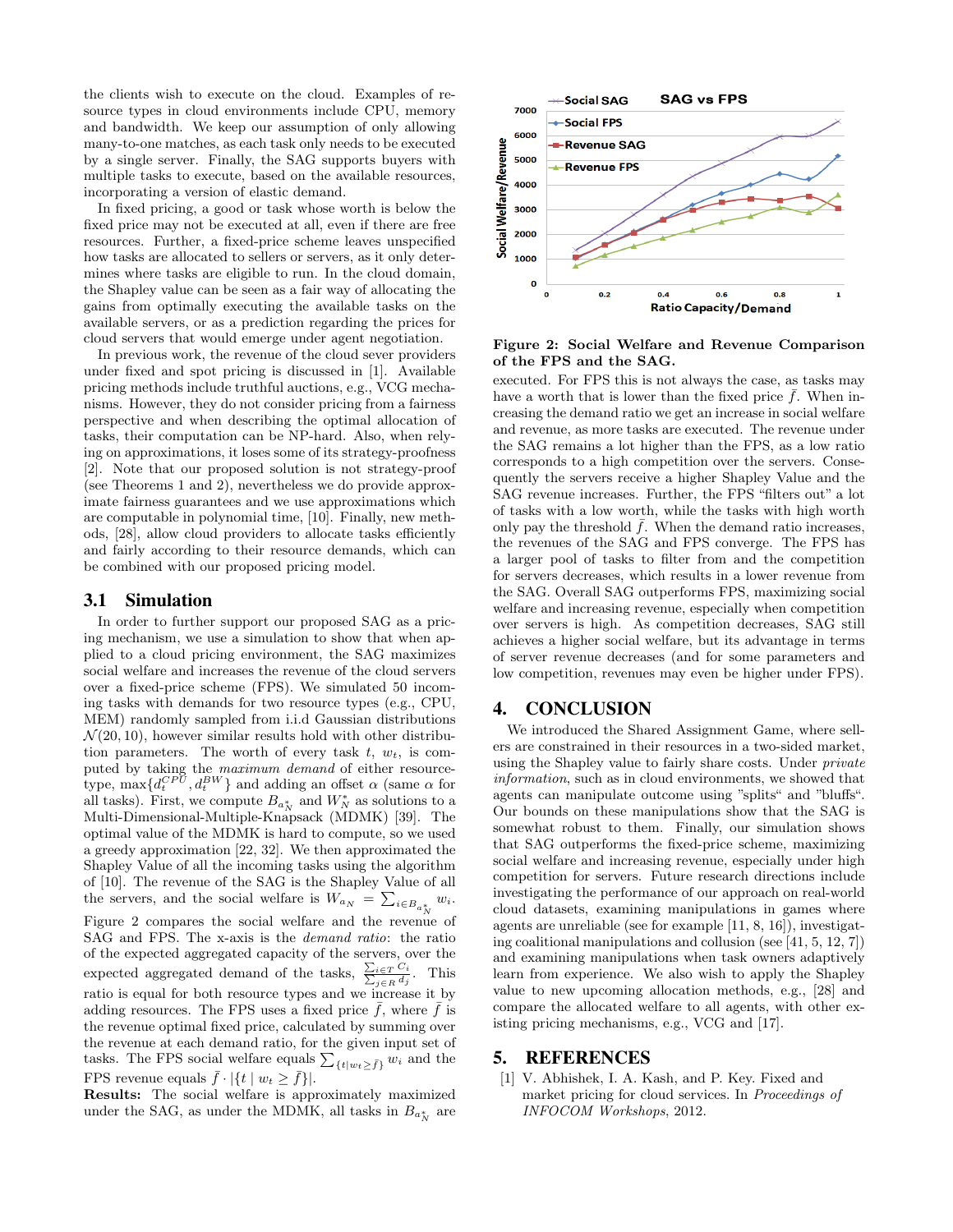the clients wish to execute on the cloud. Examples of resource types in cloud environments include CPU, memory and bandwidth. We keep our assumption of only allowing many-to-one matches, as each task only needs to be executed by a single server. Finally, the SAG supports buyers with multiple tasks to execute, based on the available resources, incorporating a version of elastic demand.

In fixed pricing, a good or task whose worth is below the fixed price may not be executed at all, even if there are free resources. Further, a fixed-price scheme leaves unspecified how tasks are allocated to sellers or servers, as it only determines where tasks are eligible to run. In the cloud domain, the Shapley value can be seen as a fair way of allocating the gains from optimally executing the available tasks on the available servers, or as a prediction regarding the prices for cloud servers that would emerge under agent negotiation.

In previous work, the revenue of the cloud sever providers under fixed and spot pricing is discussed in [1]. Available pricing methods include truthful auctions, e.g., VCG mechanisms. However, they do not consider pricing from a fairness perspective and when describing the optimal allocation of tasks, their computation can be NP-hard. Also, when relying on approximations, it loses some of its strategy-proofness [2]. Note that our proposed solution is not strategy-proof (see Theorems 1 and 2), nevertheless we do provide approximate fairness guarantees and we use approximations which are computable in polynomial time, [10]. Finally, new methods, [28], allow cloud providers to allocate tasks efficiently and fairly according to their resource demands, which can be combined with our proposed pricing model.

## 3.1 Simulation

In order to further support our proposed SAG as a pricing mechanism, we use a simulation to show that when applied to a cloud pricing environment, the SAG maximizes social welfare and increases the revenue of the cloud servers over a fixed-price scheme (FPS). We simulated 50 incoming tasks with demands for two resource types (e.g., CPU, MEM) randomly sampled from i.i.d Gaussian distributions  $\mathcal{N}(20, 10)$ , however similar results hold with other distribution parameters. The worth of every task  $t, w_t$ , is computed by taking the *maximum demand* of either resourcetype,  $\max\{d_t^{CPU}, d_t^{BW}\}$  and adding an offset  $\alpha$  (same  $\alpha$  for all tasks). First, we compute  $B_{a_N^*}$  and  $W_N^*$  as solutions to a Multi-Dimensional-Multiple-Knapsack (MDMK) [39]. The optimal value of the MDMK is hard to compute, so we used a greedy approximation [22, 32]. We then approximated the Shapley Value of all the incoming tasks using the algorithm of [10]. The revenue of the SAG is the Shapley Value of all the servers, and the social welfare is  $W_{a_N} = \sum_{i \in B_{a_N^*}} w_i$ . Figure 2 compares the social welfare and the revenue of SAG and FPS. The x-axis is the demand ratio: the ratio of the expected aggregated capacity of the servers, over the expected aggregated demand of the tasks,  $\frac{\sum_{i \in T} C_i}{\sum_{j \in R} d_j}$ . This ratio is equal for both resource types and we increase it by adding resources. The FPS uses a fixed price  $\bar{f}$ , where  $\bar{f}$  is the revenue optimal fixed price, calculated by summing over the revenue at each demand ratio, for the given input set of tasks. The FPS social welfare equals  $\sum_{\{t|w_t\geq \bar{f}\}} w_i$  and the FPS revenue equals  $\bar{f} \cdot |\{t \mid w_t \geq \bar{f}\}|.$ 

Results: The social welfare is approximately maximized under the SAG, as under the MDMK, all tasks in  $B_{a_N^*}$  are



Figure 2: Social Welfare and Revenue Comparison of the FPS and the SAG.

executed. For FPS this is not always the case, as tasks may have a worth that is lower than the fixed price  $\bar{f}$ . When increasing the demand ratio we get an increase in social welfare and revenue, as more tasks are executed. The revenue under the SAG remains a lot higher than the FPS, as a low ratio corresponds to a high competition over the servers. Consequently the servers receive a higher Shapley Value and the SAG revenue increases. Further, the FPS "filters out" a lot of tasks with a low worth, while the tasks with high worth only pay the threshold  $f$ . When the demand ratio increases, the revenues of the SAG and FPS converge. The FPS has a larger pool of tasks to filter from and the competition for servers decreases, which results in a lower revenue from the SAG. Overall SAG outperforms FPS, maximizing social welfare and increasing revenue, especially when competition over servers is high. As competition decreases, SAG still achieves a higher social welfare, but its advantage in terms of server revenue decreases (and for some parameters and low competition, revenues may even be higher under FPS).

# 4. CONCLUSION

We introduced the Shared Assignment Game, where sellers are constrained in their resources in a two-sided market, using the Shapley value to fairly share costs. Under *private* information, such as in cloud environments, we showed that agents can manipulate outcome using "splits" and "bluffs". Our bounds on these manipulations show that the SAG is somewhat robust to them. Finally, our simulation shows that SAG outperforms the fixed-price scheme, maximizing social welfare and increasing revenue, especially under high competition for servers. Future research directions include investigating the performance of our approach on real-world cloud datasets, examining manipulations in games where agents are unreliable (see for example [11, 8, 16]), investigating coalitional manipulations and collusion (see [41, 5, 12, 7]) and examining manipulations when task owners adaptively learn from experience. We also wish to apply the Shapley value to new upcoming allocation methods, e.g., [28] and compare the allocated welfare to all agents, with other existing pricing mechanisms, e.g., VCG and [17].

#### 5. REFERENCES

[1] V. Abhishek, I. A. Kash, and P. Key. Fixed and market pricing for cloud services. In Proceedings of INFOCOM Workshops, 2012.